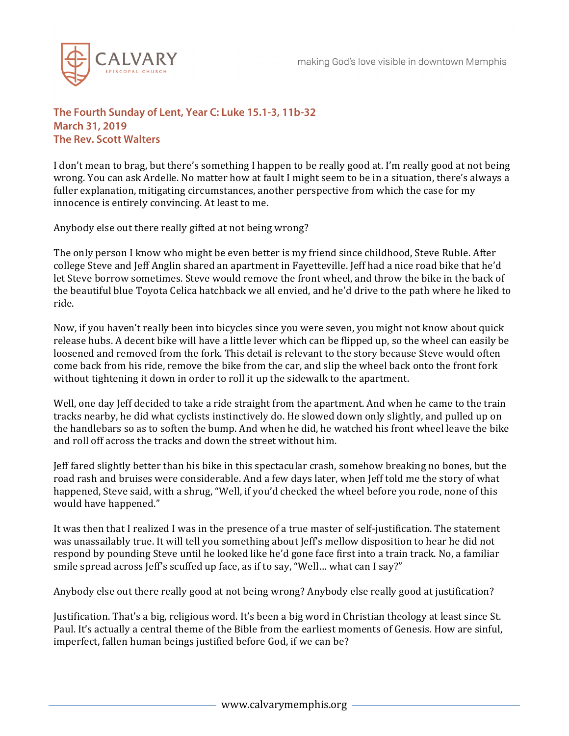

## **The Fourth Sunday of Lent, Year C: Luke 15.1-3, 11b-32 March 31, 2019 The Rev. Scott Walters**

I don't mean to brag, but there's something I happen to be really good at. I'm really good at not being wrong. You can ask Ardelle. No matter how at fault I might seem to be in a situation, there's always a fuller explanation, mitigating circumstances, another perspective from which the case for my innocence is entirely convincing. At least to me.

Anybody else out there really gifted at not being wrong?

The only person I know who might be even better is my friend since childhood, Steve Ruble. After college Steve and Jeff Anglin shared an apartment in Fayetteville. Jeff had a nice road bike that he'd let Steve borrow sometimes. Steve would remove the front wheel, and throw the bike in the back of the beautiful blue Toyota Celica hatchback we all envied, and he'd drive to the path where he liked to ride.

Now, if you haven't really been into bicycles since you were seven, you might not know about quick release hubs. A decent bike will have a little lever which can be flipped up, so the wheel can easily be loosened and removed from the fork. This detail is relevant to the story because Steve would often come back from his ride, remove the bike from the car, and slip the wheel back onto the front fork without tightening it down in order to roll it up the sidewalk to the apartment.

Well, one day Jeff decided to take a ride straight from the apartment. And when he came to the train tracks nearby, he did what cyclists instinctively do. He slowed down only slightly, and pulled up on the handlebars so as to soften the bump. And when he did, he watched his front wheel leave the bike and roll off across the tracks and down the street without him.

Jeff fared slightly better than his bike in this spectacular crash, somehow breaking no bones, but the road rash and bruises were considerable. And a few days later, when Jeff told me the story of what happened, Steve said, with a shrug, "Well, if you'd checked the wheel before you rode, none of this would have happened."

It was then that I realized I was in the presence of a true master of self-justification. The statement was unassailably true. It will tell you something about Jeff's mellow disposition to hear he did not respond by pounding Steve until he looked like he'd gone face first into a train track. No, a familiar smile spread across Jeff's scuffed up face, as if to say, "Well… what can I say?"

Anybody else out there really good at not being wrong? Anybody else really good at justification?

Justification. That's a big, religious word. It's been a big word in Christian theology at least since St. Paul. It's actually a central theme of the Bible from the earliest moments of Genesis. How are sinful, imperfect, fallen human beings justified before God, if we can be?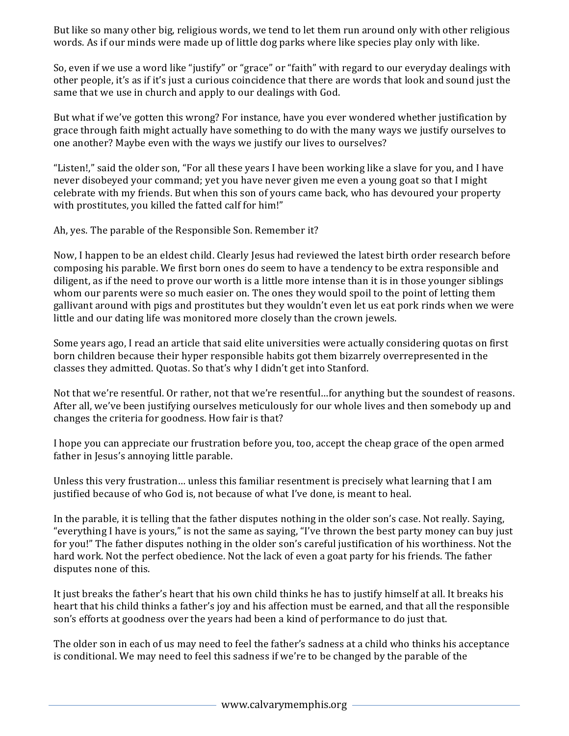But like so many other big, religious words, we tend to let them run around only with other religious words. As if our minds were made up of little dog parks where like species play only with like.

So, even if we use a word like "justify" or "grace" or "faith" with regard to our everyday dealings with other people, it's as if it's just a curious coincidence that there are words that look and sound just the same that we use in church and apply to our dealings with God.

But what if we've gotten this wrong? For instance, have you ever wondered whether justification by grace through faith might actually have something to do with the many ways we justify ourselves to one another? Maybe even with the ways we justify our lives to ourselves?

"Listen!," said the older son, "For all these years I have been working like a slave for you, and I have never disobeyed your command; yet you have never given me even a young goat so that I might celebrate with my friends. But when this son of yours came back, who has devoured your property with prostitutes, you killed the fatted calf for him!"

Ah, yes. The parable of the Responsible Son. Remember it?

Now, I happen to be an eldest child. Clearly Jesus had reviewed the latest birth order research before composing his parable. We first born ones do seem to have a tendency to be extra responsible and diligent, as if the need to prove our worth is a little more intense than it is in those younger siblings whom our parents were so much easier on. The ones they would spoil to the point of letting them gallivant around with pigs and prostitutes but they wouldn't even let us eat pork rinds when we were little and our dating life was monitored more closely than the crown jewels.

Some years ago, I read an article that said elite universities were actually considering quotas on first born children because their hyper responsible habits got them bizarrely overrepresented in the classes they admitted. Quotas. So that's why I didn't get into Stanford.

Not that we're resentful. Or rather, not that we're resentful…for anything but the soundest of reasons. After all, we've been justifying ourselves meticulously for our whole lives and then somebody up and changes the criteria for goodness. How fair is that?

I hope you can appreciate our frustration before you, too, accept the cheap grace of the open armed father in Jesus's annoying little parable.

Unless this very frustration… unless this familiar resentment is precisely what learning that I am justified because of who God is, not because of what I've done, is meant to heal.

In the parable, it is telling that the father disputes nothing in the older son's case. Not really. Saying, "everything I have is yours," is not the same as saying, "I've thrown the best party money can buy just for you!" The father disputes nothing in the older son's careful justification of his worthiness. Not the hard work. Not the perfect obedience. Not the lack of even a goat party for his friends. The father disputes none of this.

It just breaks the father's heart that his own child thinks he has to justify himself at all. It breaks his heart that his child thinks a father's joy and his affection must be earned, and that all the responsible son's efforts at goodness over the years had been a kind of performance to do just that.

The older son in each of us may need to feel the father's sadness at a child who thinks his acceptance is conditional. We may need to feel this sadness if we're to be changed by the parable of the